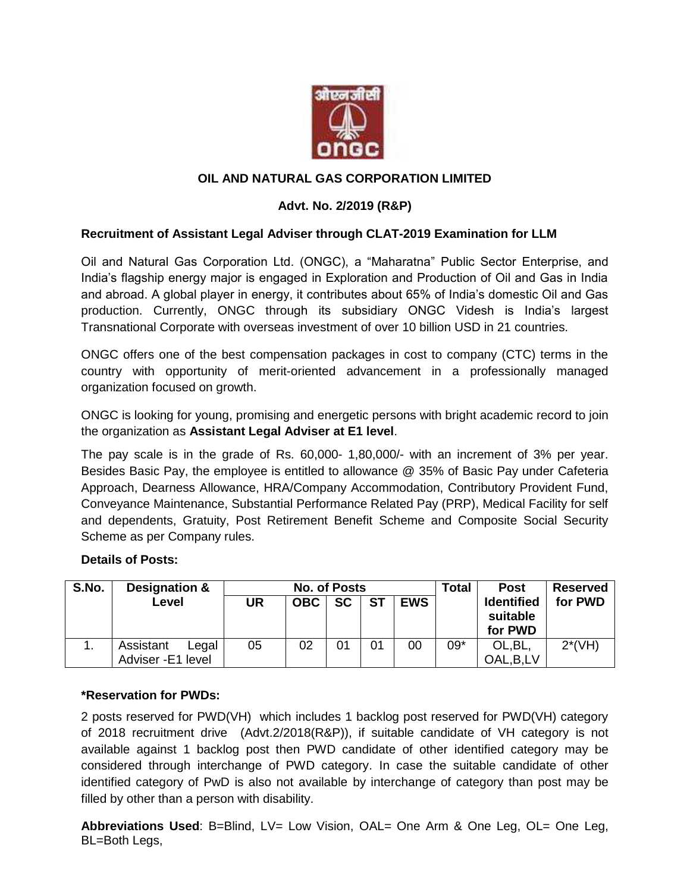

## **OIL AND NATURAL GAS CORPORATION LIMITED**

## **Advt. No. 2/2019 (R&P)**

### **Recruitment of Assistant Legal Adviser through CLAT-2019 Examination for LLM**

Oil and Natural Gas Corporation Ltd. (ONGC), a "Maharatna" Public Sector Enterprise, and India's flagship energy major is engaged in Exploration and Production of Oil and Gas in India and abroad. A global player in energy, it contributes about 65% of India's domestic Oil and Gas production. Currently, ONGC through its subsidiary ONGC Videsh is India's largest Transnational Corporate with overseas investment of over 10 billion USD in 21 countries.

ONGC offers one of the best compensation packages in cost to company (CTC) terms in the country with opportunity of merit-oriented advancement in a professionally managed organization focused on growth.

ONGC is looking for young, promising and energetic persons with bright academic record to join the organization as **Assistant Legal Adviser at E1 level**.

The pay scale is in the grade of Rs. 60,000- 1,80,000/- with an increment of 3% per year. Besides Basic Pay, the employee is entitled to allowance @ 35% of Basic Pay under Cafeteria Approach, Dearness Allowance, HRA/Company Accommodation, Contributory Provident Fund, Conveyance Maintenance, Substantial Performance Related Pay (PRP), Medical Facility for self and dependents, Gratuity, Post Retirement Benefit Scheme and Composite Social Security Scheme as per Company rules.

#### **Details of Posts:**

| S.No. | Designation &                           | <b>No. of Posts</b> |            |           |           |            | Total | <b>Post</b>                              | <b>Reserved</b> |
|-------|-----------------------------------------|---------------------|------------|-----------|-----------|------------|-------|------------------------------------------|-----------------|
|       | Level                                   | UR                  | <b>OBC</b> | <b>SC</b> | <b>ST</b> | <b>EWS</b> |       | <b>Identified</b><br>suitable<br>for PWD | for PWD         |
|       | Assistant<br>Legal<br>Adviser -E1 level | 05                  | 02         | 01        | 01        | 00         | $09*$ | OL, BL,<br>OAL, B, LV                    | $2*(VH)$        |

### **\*Reservation for PWDs:**

2 posts reserved for PWD(VH) which includes 1 backlog post reserved for PWD(VH) category of 2018 recruitment drive (Advt.2/2018(R&P)), if suitable candidate of VH category is not available against 1 backlog post then PWD candidate of other identified category may be considered through interchange of PWD category. In case the suitable candidate of other identified category of PwD is also not available by interchange of category than post may be filled by other than a person with disability.

**Abbreviations Used**: B=Blind, LV= Low Vision, OAL= One Arm & One Leg, OL= One Leg, BL=Both Legs,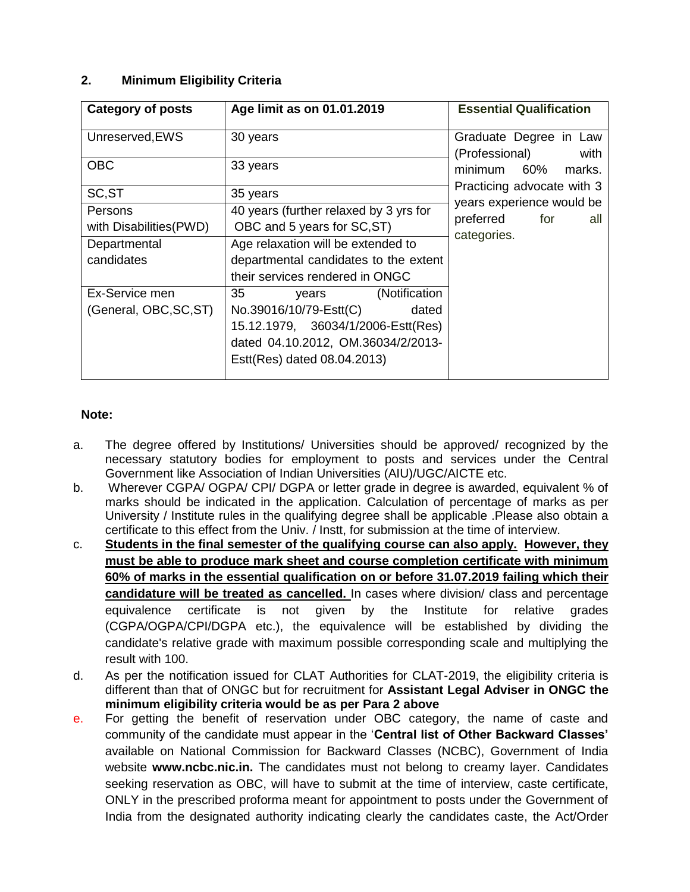## **2. Minimum Eligibility Criteria**

| <b>Category of posts</b>                                         | Age limit as on 01.01.2019                                                                                                                                                 | <b>Essential Qualification</b>                                      |  |
|------------------------------------------------------------------|----------------------------------------------------------------------------------------------------------------------------------------------------------------------------|---------------------------------------------------------------------|--|
| Unreserved, EWS                                                  | 30 years                                                                                                                                                                   | Graduate Degree in Law<br>(Professional) with                       |  |
| <b>OBC</b>                                                       | 33 years                                                                                                                                                                   | minimum 60% marks.<br>Practicing advocate with 3                    |  |
| SC, ST                                                           | 35 years                                                                                                                                                                   |                                                                     |  |
| Persons<br>with Disabilities (PWD)<br>Departmental<br>candidates | 40 years (further relaxed by 3 yrs for<br>OBC and 5 years for SC, ST)<br>Age relaxation will be extended to<br>departmental candidates to the extent                       | years experience would be<br>preferred<br>for<br>all<br>categories. |  |
|                                                                  | their services rendered in ONGC                                                                                                                                            |                                                                     |  |
| Ex-Service men<br>(General, OBC, SC, ST)                         | 35<br>(Notification<br>years<br>No.39016/10/79-Estt(C)<br>dated<br>15.12.1979, 36034/1/2006-Estt(Res)<br>dated 04.10.2012, OM.36034/2/2013-<br>Estt(Res) dated 08.04.2013) |                                                                     |  |

### **Note:**

- a. The degree offered by Institutions/ Universities should be approved/ recognized by the necessary statutory bodies for employment to posts and services under the Central Government like Association of Indian Universities (AIU)/UGC/AICTE etc.
- b. Wherever CGPA/ OGPA/ CPI/ DGPA or letter grade in degree is awarded, equivalent % of marks should be indicated in the application. Calculation of percentage of marks as per University / Institute rules in the qualifying degree shall be applicable .Please also obtain a certificate to this effect from the Univ. / Instt, for submission at the time of interview.
- c. **Students in the final semester of the qualifying course can also apply. However, they must be able to produce mark sheet and course completion certificate with minimum 60% of marks in the essential qualification on or before 31.07.2019 failing which their candidature will be treated as cancelled.** In cases where division/ class and percentage equivalence certificate is not given by the Institute for relative grades (CGPA/OGPA/CPI/DGPA etc.), the equivalence will be established by dividing the candidate's relative grade with maximum possible corresponding scale and multiplying the result with 100.
- d. As per the notification issued for CLAT Authorities for CLAT-2019, the eligibility criteria is different than that of ONGC but for recruitment for **Assistant Legal Adviser in ONGC the minimum eligibility criteria would be as per Para 2 above**
- e. For getting the benefit of reservation under OBC category, the name of caste and community of the candidate must appear in the '**Central list of Other Backward Classes'**  available on National Commission for Backward Classes (NCBC), Government of India website **www.ncbc.nic.in.** The candidates must not belong to creamy layer. Candidates seeking reservation as OBC, will have to submit at the time of interview, caste certificate, ONLY in the prescribed proforma meant for appointment to posts under the Government of India from the designated authority indicating clearly the candidates caste, the Act/Order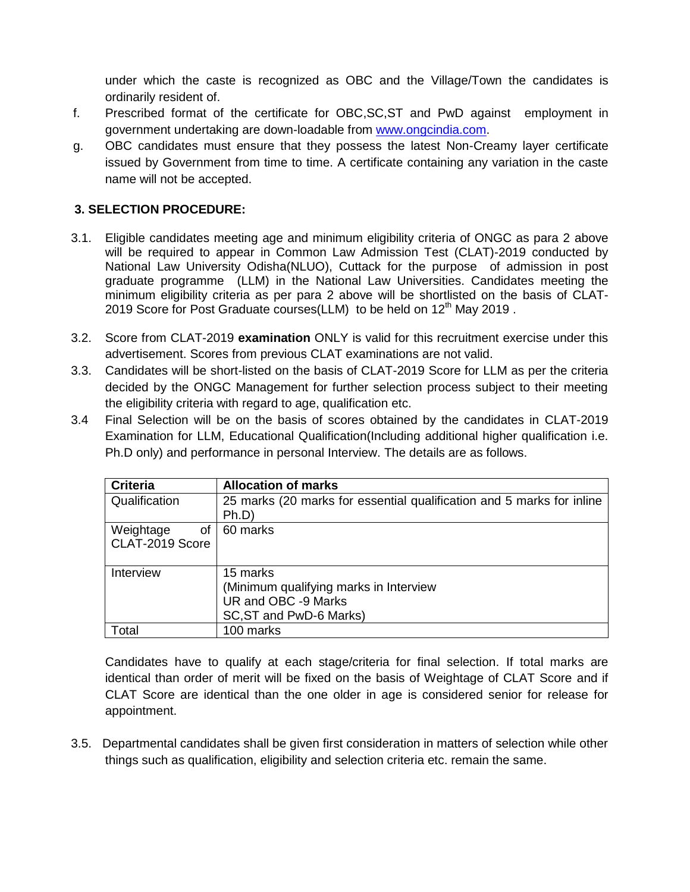under which the caste is recognized as OBC and the Village/Town the candidates is ordinarily resident of.

- f. Prescribed format of the certificate for OBC,SC,ST and PwD against employment in government undertaking are down-loadable from [www.ongcindia.com.](http://www.ongcindia.com/)
- g. OBC candidates must ensure that they possess the latest Non-Creamy layer certificate issued by Government from time to time. A certificate containing any variation in the caste name will not be accepted.

## **3. SELECTION PROCEDURE:**

- 3.1. Eligible candidates meeting age and minimum eligibility criteria of ONGC as para 2 above will be required to appear in Common Law Admission Test (CLAT)-2019 conducted by National Law University Odisha(NLUO), Cuttack for the purpose of admission in post graduate programme (LLM) in the National Law Universities. Candidates meeting the minimum eligibility criteria as per para 2 above will be shortlisted on the basis of CLAT-2019 Score for Post Graduate courses(LLM) to be held on 12<sup>th</sup> May 2019.
- 3.2. Score from CLAT-2019 **examination** ONLY is valid for this recruitment exercise under this advertisement. Scores from previous CLAT examinations are not valid.
- 3.3. Candidates will be short-listed on the basis of CLAT-2019 Score for LLM as per the criteria decided by the ONGC Management for further selection process subject to their meeting the eligibility criteria with regard to age, qualification etc.
- 3.4 Final Selection will be on the basis of scores obtained by the candidates in CLAT-2019 Examination for LLM, Educational Qualification(Including additional higher qualification i.e. Ph.D only) and performance in personal Interview. The details are as follows.

| <b>Criteria</b> | <b>Allocation of marks</b>                                            |
|-----------------|-----------------------------------------------------------------------|
| Qualification   | 25 marks (20 marks for essential qualification and 5 marks for inline |
|                 | Ph.D                                                                  |
| Weightage<br>οf | 60 marks                                                              |
| CLAT-2019 Score |                                                                       |
|                 |                                                                       |
| Interview       | 15 marks                                                              |
|                 | (Minimum qualifying marks in Interview                                |
|                 | UR and OBC -9 Marks                                                   |
|                 | SC, ST and PwD-6 Marks)                                               |
| Total           | 100 marks                                                             |

Candidates have to qualify at each stage/criteria for final selection. If total marks are identical than order of merit will be fixed on the basis of Weightage of CLAT Score and if CLAT Score are identical than the one older in age is considered senior for release for appointment.

3.5. Departmental candidates shall be given first consideration in matters of selection while other things such as qualification, eligibility and selection criteria etc. remain the same.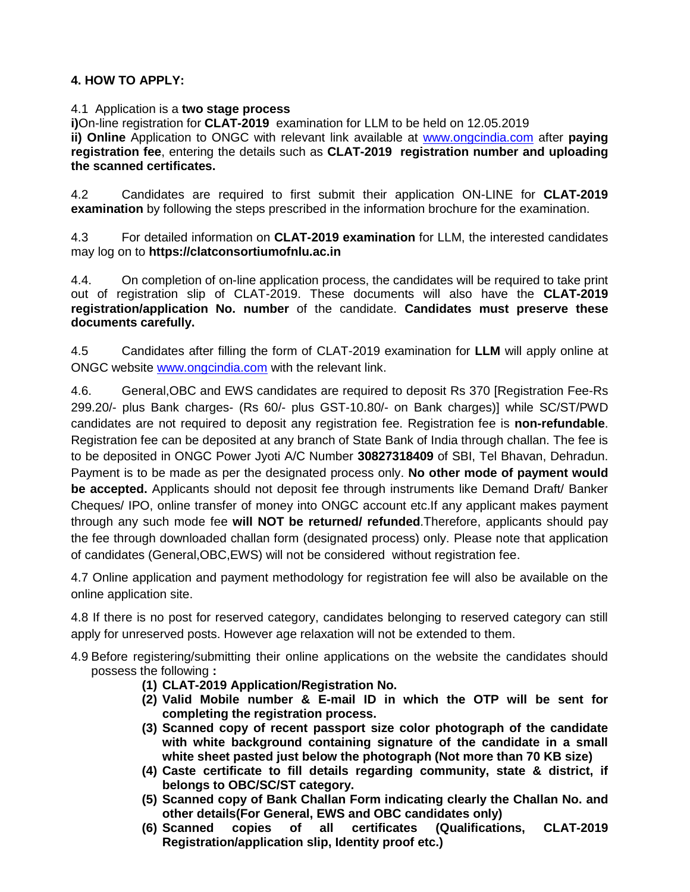# **4. HOW TO APPLY:**

#### 4.1Application is a **two stage process**

**i)**On-line registration for **CLAT-2019** examination for LLM to be held on 12.05.2019 **ii) Online** Application to ONGC with relevant link available at [www.ongcindia.com](http://www.ongcindia.com/) after **paying registration fee**, entering the details such as **CLAT-2019 registration number and uploading the scanned certificates.**

4.2 Candidates are required to first submit their application ON-LINE for **CLAT-2019 examination** by following the steps prescribed in the information brochure for the examination.

4.3 For detailed information on **CLAT-2019 examination** for LLM, the interested candidates may log on to **https://clatconsortiumofnlu.ac.in**

4.4. On completion of on-line application process, the candidates will be required to take print out of registration slip of CLAT-2019. These documents will also have the **CLAT-2019 registration/application No. number** of the candidate. **Candidates must preserve these documents carefully.** 

4.5 Candidates after filling the form of CLAT-2019 examination for **LLM** will apply online at ONGC website [www.ongcindia.com](http://www.ongcindia.com/) with the relevant link.

4.6. General,OBC and EWS candidates are required to deposit Rs 370 [Registration Fee-Rs 299.20/- plus Bank charges- (Rs 60/- plus GST-10.80/- on Bank charges)] while SC/ST/PWD candidates are not required to deposit any registration fee. Registration fee is **non-refundable**. Registration fee can be deposited at any branch of State Bank of India through challan. The fee is to be deposited in ONGC Power Jyoti A/C Number **30827318409** of SBI, Tel Bhavan, Dehradun. Payment is to be made as per the designated process only. **No other mode of payment would be accepted.** Applicants should not deposit fee through instruments like Demand Draft/ Banker Cheques/ IPO, online transfer of money into ONGC account etc.If any applicant makes payment through any such mode fee **will NOT be returned/ refunded**.Therefore, applicants should pay the fee through downloaded challan form (designated process) only. Please note that application of candidates (General,OBC,EWS) will not be considered without registration fee.

4.7 Online application and payment methodology for registration fee will also be available on the online application site.

4.8 If there is no post for reserved category, candidates belonging to reserved category can still apply for unreserved posts. However age relaxation will not be extended to them.

- 4.9 Before registering/submitting their online applications on the website the candidates should possess the following **:** 
	- **(1) CLAT-2019 Application/Registration No.**
	- **(2) Valid Mobile number & E-mail ID in which the OTP will be sent for completing the registration process.**
	- **(3) Scanned copy of recent passport size color photograph of the candidate with white background containing signature of the candidate in a small white sheet pasted just below the photograph (Not more than 70 KB size)**
	- **(4) Caste certificate to fill details regarding community, state & district, if belongs to OBC/SC/ST category.**
	- **(5) Scanned copy of Bank Challan Form indicating clearly the Challan No. and other details(For General, EWS and OBC candidates only)**
	- **(6) Scanned copies of all certificates (Qualifications, CLAT-2019 Registration/application slip, Identity proof etc.)**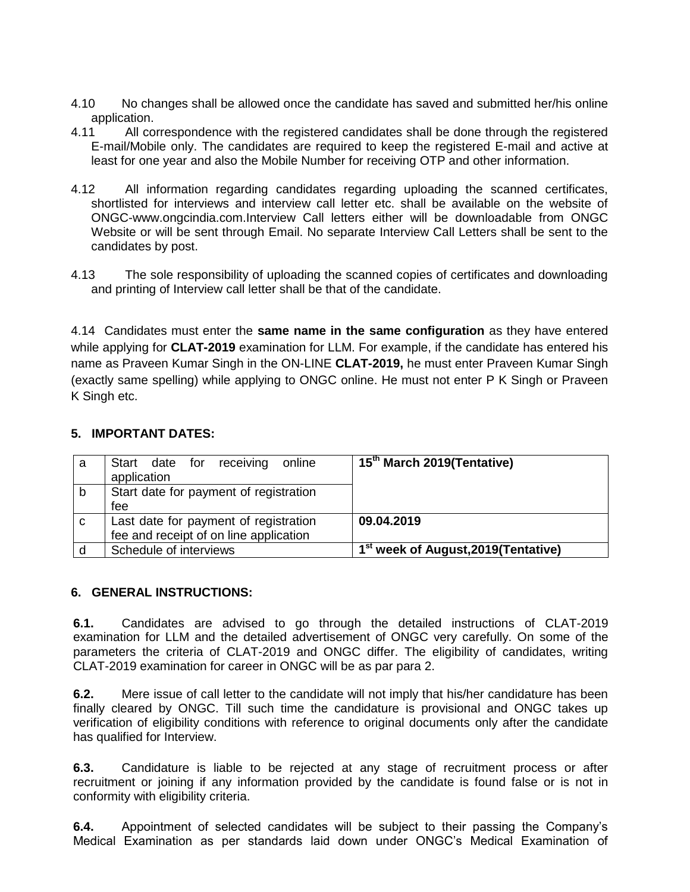- 4.10 No changes shall be allowed once the candidate has saved and submitted her/his online application.
- 4.11 All correspondence with the registered candidates shall be done through the registered E-mail/Mobile only. The candidates are required to keep the registered E-mail and active at least for one year and also the Mobile Number for receiving OTP and other information.
- 4.12 All information regarding candidates regarding uploading the scanned certificates, shortlisted for interviews and interview call letter etc. shall be available on the website of ONGC-www.ongcindia.com.Interview Call letters either will be downloadable from ONGC Website or will be sent through Email. No separate Interview Call Letters shall be sent to the candidates by post.
- 4.13 The sole responsibility of uploading the scanned copies of certificates and downloading and printing of Interview call letter shall be that of the candidate.

4.14 Candidates must enter the **same name in the same configuration** as they have entered while applying for **CLAT-2019** examination for LLM. For example, if the candidate has entered his name as Praveen Kumar Singh in the ON-LINE **CLAT-2019,** he must enter Praveen Kumar Singh (exactly same spelling) while applying to ONGC online. He must not enter P K Singh or Praveen K Singh etc.

### **5. IMPORTANT DATES:**

| a | Start date for receiving online        | 15 <sup>th</sup> March 2019(Tentative)           |
|---|----------------------------------------|--------------------------------------------------|
|   | application                            |                                                  |
| b | Start date for payment of registration |                                                  |
|   | fee                                    |                                                  |
| C | Last date for payment of registration  | 09.04.2019                                       |
|   | fee and receipt of on line application |                                                  |
|   | Schedule of interviews                 | 1 <sup>st</sup> week of August, 2019 (Tentative) |

### **6. GENERAL INSTRUCTIONS:**

**6.1.** Candidates are advised to go through the detailed instructions of CLAT-2019 examination for LLM and the detailed advertisement of ONGC very carefully. On some of the parameters the criteria of CLAT-2019 and ONGC differ. The eligibility of candidates, writing CLAT-2019 examination for career in ONGC will be as par para 2.

**6.2.** Mere issue of call letter to the candidate will not imply that his/her candidature has been finally cleared by ONGC. Till such time the candidature is provisional and ONGC takes up verification of eligibility conditions with reference to original documents only after the candidate has qualified for Interview.

**6.3.** Candidature is liable to be rejected at any stage of recruitment process or after recruitment or joining if any information provided by the candidate is found false or is not in conformity with eligibility criteria.

**6.4.** Appointment of selected candidates will be subject to their passing the Company's Medical Examination as per standards laid down under ONGC's Medical Examination of